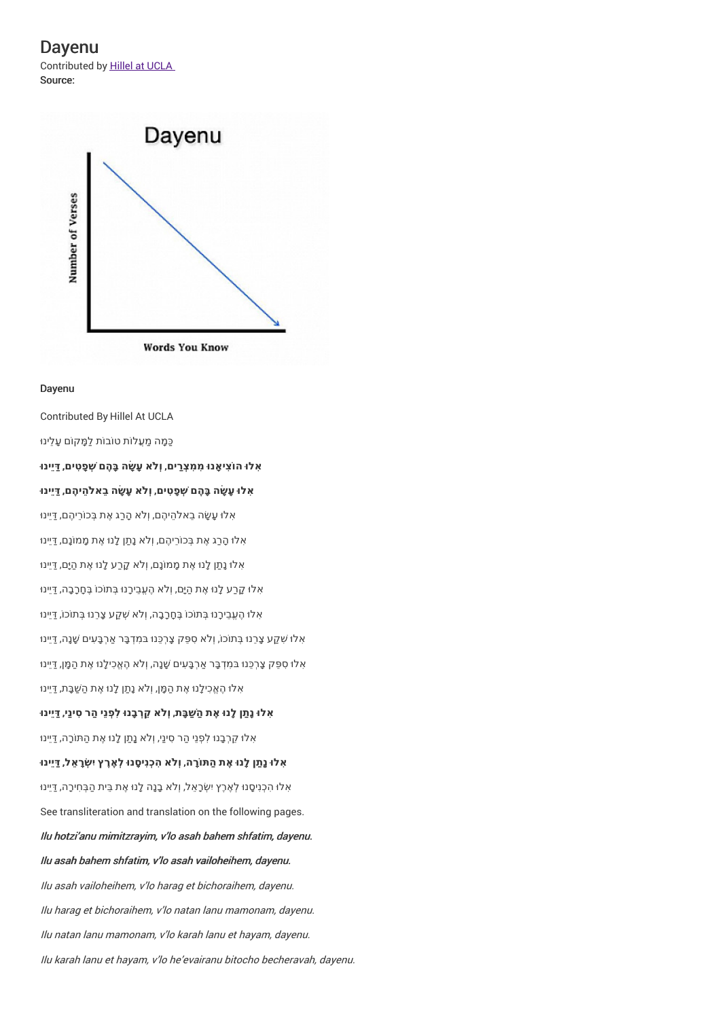Dayenu Contributed by Hillel at UCLA Source:



## Dayenu

Contributed By Hillel At UCLA כַּמַה מַעֲלוֹת טוֹבוֹת לַמַּקוֹם עַלינוּ **ִאלו ּה ֹוצִי ָאנו ּ ִמ ִמצְַרים**, **וְ ֹלא עָ ָׂשה בָּ ֶהם ְׁש ָפ ִטים**, **ַדּיֵינו ּ ִאלו ּעָ ָׂשה בָּ ֶהם ְׁש ָפ ִטים**, **וְ ֹלא עָ ָׂשה בֵא ֹל ֵהי ֶהם**, **ַדּיֵינו ּ** ֿאָלוּ עָשָׂה בֵאלהֵיהֶם, וְלֹא הָרַג אֶת בְּכוֹרֵיהֶם, דַּיֵינוּ אָלוּ הָרַג אֶת בְּכוֹרֵיהֶם, וְלֹא נָתַן לָנוּ אֶת מָמוֹנָם, דַיֵינוּ אָלו נָתַן לָנוּ אֶת מָמוֹנָם, וְלֹא קָרַע לָנוּ אֶת הַיָּם, דַיֵינוּ אָלוּ קָרַע לָנוּ אֶת הַיָּם, וְלֹא הֶעֶבֶירָנוּ בְּתוֹכוֹ בֶּחָרָבָה, דַיֵינוּ אָלוּ הֶעֱבֵירָנוּ בְּתוֹכוֹ בֶּחָרָבָה, וְלֹא שְׁקַע צָרֵנוּ בְּתוֹכוֹ, דַּיֵינוּ ֿאָלו שִׁקַע צָרֵנוּ בְּתוֹכוֹ, וְלֹא סִפֵּק צָרְכֵּנוּ בּמִדְבָּר אַרְבָּעִים שָׁנָה, דַיֵּינוּ ּ אָלוּ סִפֵּק צָרְכֵּנוּ בּמִדְבָּר אַרְבָּעִים שָׁנָה, וְלֹא הֶאֱכִילָנוּ אֶת הַמָּן, דַיֵּינוּ אָלוּ הֶאֱכִילָנוּ אֶת הַמָּן, וְלֹא נָתַן לָנוּ אֶת הַשַּׁבָּת, דַיֵינוּ **ִאלו ּנָ ַתן לָנו ּ ֶאת ַה ַׁשבָּת**, **וְ ֹלא ֵק ְרבָנו ּלִ ְפנֵי ַהר ִסינַי**, **ַדּיֵינו ּ** אָלוּ קֵרְבָנוּ לִפְנֵי הַר סִינַי, וְלֹא נַתַן לָנוּ אֶת הַתּוֹרָה, דַיֵינוּ אִלוּ נַתַּן לַנוּ אֶת הַתּוֹרַה, וְלֹא הִכְנִיסֵנוּ לְאֶרֶץ יִשְׂרַאֶל, דַּיִינוּ אָלוּ הְכְנִיסָנוּ לְאֶרֶץ יִשְׂרָאֵל, וְלֹא בָנָה לָנוּ אֶת בֵּית הַבְּחִירָה, דַּיֵינוּ See transliteration and translation on the following pages. Ilu hotzi'anu mimitzrayim, <sup>v</sup>'lo asah bahem shfatim, dayenu. Ilu asah bahem shfatim, <sup>v</sup>'lo asah vailoheihem, dayenu. Ilu asah vailoheihem, <sup>v</sup>'lo harag et bichoraihem, dayenu. Ilu harag et bichoraihem, <sup>v</sup>'lo natan lanu mamonam, dayenu. Ilu natan lanu mamonam, <sup>v</sup>'lo karah lanu et hayam, dayenu. Ilu karah lanu et hayam, <sup>v</sup>'lo he'evairanu bitocho becheravah, dayenu.